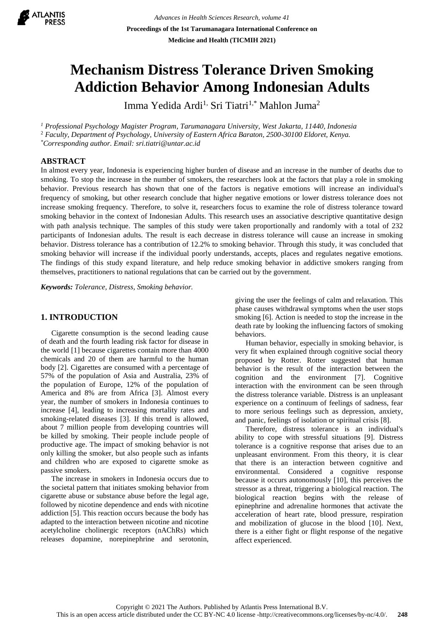

# **Mechanism Distress Tolerance Driven Smoking Addiction Behavior Among Indonesian Adults**

Imma Yedida Ardi<sup>1,</sup> Sri Tiatri<sup>1,\*</sup> Mahlon Juma<sup>2</sup>

*<sup>1</sup> Professional Psychology Magister Program, Tarumanagara University, West Jakarta, 11440, Indonesia* <sup>2</sup> *Faculty, Department of Psychology, University of Eastern Africa Baraton, 2500-30100 Eldoret, Kenya. \*Corresponding author. Email: sri.tiatri@untar.ac.id*

## **ABSTRACT**

In almost every year, Indonesia is experiencing higher burden of disease and an increase in the number of deaths due to smoking. To stop the increase in the number of smokers, the researchers look at the factors that play a role in smoking behavior. Previous research has shown that one of the factors is negative emotions will increase an individual's frequency of smoking, but other research conclude that higher negative emotions or lower distress tolerance does not increase smoking frequency. Therefore, to solve it, researchers focus to examine the role of distress tolerance toward smoking behavior in the context of Indonesian Adults. This research uses an associative descriptive quantitative design with path analysis technique. The samples of this study were taken proportionally and randomly with a total of 232 participants of Indonesian adults. The result is each decrease in distress tolerance will cause an increase in smoking behavior. Distress tolerance has a contribution of 12.2% to smoking behavior. Through this study, it was concluded that smoking behavior will increase if the individual poorly understands, accepts, places and regulates negative emotions. The findings of this study expand literature, and help reduce smoking behavior in addictive smokers ranging from themselves, practitioners to national regulations that can be carried out by the government.

*Keywords: Tolerance, Distress, Smoking behavior.*

# **1. INTRODUCTION**

Cigarette consumption is the second leading cause of death and the fourth leading risk factor for disease in the world [1] because cigarettes contain more than 4000 chemicals and 20 of them are harmful to the human body [2]. Cigarettes are consumed with a percentage of 57% of the population of Asia and Australia, 23% of the population of Europe, 12% of the population of America and 8% are from Africa [3]. Almost every year, the number of smokers in Indonesia continues to increase [4], leading to increasing mortality rates and smoking-related diseases [3]. If this trend is allowed, about 7 million people from developing countries will be killed by smoking. Their people include people of productive age. The impact of smoking behavior is not only killing the smoker, but also people such as infants and children who are exposed to cigarette smoke as passive smokers.

The increase in smokers in Indonesia occurs due to the societal pattern that initiates smoking behavior from cigarette abuse or substance abuse before the legal age, followed by nicotine dependence and ends with nicotine addiction [5]. This reaction occurs because the body has adapted to the interaction between nicotine and nicotine acetylcholine cholinergic receptors (nAChRs) which releases dopamine, norepinephrine and serotonin,

giving the user the feelings of calm and relaxation. This phase causes withdrawal symptoms when the user stops smoking [6]. Action is needed to stop the increase in the death rate by looking the influencing factors of smoking behaviors.

Human behavior, especially in smoking behavior, is very fit when explained through cognitive social theory proposed by Rotter. Rotter suggested that human behavior is the result of the interaction between the cognition and the environment [7]. Cognitive interaction with the environment can be seen through the distress tolerance variable. Distress is an unpleasant experience on a continuum of feelings of sadness, fear to more serious feelings such as depression, anxiety, and panic, feelings of isolation or spiritual crisis [8].

Therefore, distress tolerance is an individual's ability to cope with stressful situations [9]. Distress tolerance is a cognitive response that arises due to an unpleasant environment. From this theory, it is clear that there is an interaction between cognitive and environmental. Considered a cognitive response because it occurs autonomously [10], this perceives the stressor as a threat, triggering a biological reaction. The biological reaction begins with the release of epinephrine and adrenaline hormones that activate the acceleration of heart rate, blood pressure, respiration and mobilization of glucose in the blood [10]. Next, there is a either fight or flight response of the negative affect experienced.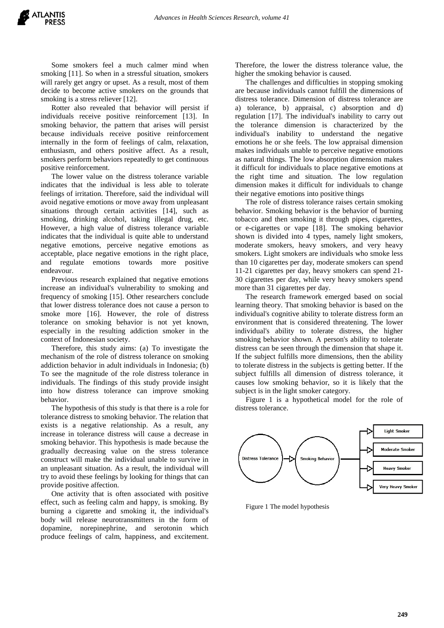Some smokers feel a much calmer mind when smoking [11]. So when in a stressful situation, smokers will rarely get angry or upset. As a result, most of them decide to become active smokers on the grounds that smoking is a stress reliever [12].

Rotter also revealed that behavior will persist if individuals receive positive reinforcement [13]. In smoking behavior, the pattern that arises will persist because individuals receive positive reinforcement internally in the form of feelings of calm, relaxation, enthusiasm, and others positive affect. As a result, smokers perform behaviors repeatedly to get continuous positive reinforcement.

The lower value on the distress tolerance variable indicates that the individual is less able to tolerate feelings of irritation. Therefore, said the individual will avoid negative emotions or move away from unpleasant situations through certain activities [14], such as smoking, drinking alcohol, taking illegal drug, etc. However, a high value of distress tolerance variable indicates that the individual is quite able to understand negative emotions, perceive negative emotions as acceptable, place negative emotions in the right place, and regulate emotions towards more positive endeavour.

Previous research explained that negative emotions increase an individual's vulnerability to smoking and frequency of smoking [15]. Other researchers conclude that lower distress tolerance does not cause a person to smoke more [16]. However, the role of distress tolerance on smoking behavior is not yet known, especially in the resulting addiction smoker in the context of Indonesian society.

Therefore, this study aims: (a) To investigate the mechanism of the role of distress tolerance on smoking addiction behavior in adult individuals in Indonesia; (b) To see the magnitude of the role distress tolerance in individuals. The findings of this study provide insight into how distress tolerance can improve smoking behavior.

The hypothesis of this study is that there is a role for tolerance distress to smoking behavior. The relation that exists is a negative relationship. As a result, any increase in tolerance distress will cause a decrease in smoking behavior. This hypothesis is made because the gradually decreasing value on the stress tolerance construct will make the individual unable to survive in an unpleasant situation. As a result, the individual will try to avoid these feelings by looking for things that can provide positive affection.

One activity that is often associated with positive effect, such as feeling calm and happy, is smoking. By burning a cigarette and smoking it, the individual's body will release neurotransmitters in the form of dopamine, norepinephrine, and serotonin which produce feelings of calm, happiness, and excitement.

Therefore, the lower the distress tolerance value, the higher the smoking behavior is caused.

The challenges and difficulties in stopping smoking are because individuals cannot fulfill the dimensions of distress tolerance. Dimension of distress tolerance are a) tolerance, b) appraisal, c) absorption and d) regulation [17]. The individual's inability to carry out the tolerance dimension is characterized by the individual's inability to understand the negative emotions he or she feels. The low appraisal dimension makes individuals unable to perceive negative emotions as natural things. The low absorption dimension makes it difficult for individuals to place negative emotions at the right time and situation. The low regulation dimension makes it difficult for individuals to change their negative emotions into positive things

The role of distress tolerance raises certain smoking behavior. Smoking behavior is the behavior of burning tobacco and then smoking it through pipes, cigarettes, or e-cigarettes or vape [18]. The smoking behavior shown is divided into 4 types, namely light smokers, moderate smokers, heavy smokers, and very heavy smokers. Light smokers are individuals who smoke less than 10 cigarettes per day, moderate smokers can spend 11-21 cigarettes per day, heavy smokers can spend 21- 30 cigarettes per day, while very heavy smokers spend more than 31 cigarettes per day.

The research framework emerged based on social learning theory. That smoking behavior is based on the individual's cognitive ability to tolerate distress form an environment that is considered threatening. The lower individual's ability to tolerate distress, the higher smoking behavior shown. A person's ability to tolerate distress can be seen through the dimension that shape it. If the subject fulfills more dimensions, then the ability to tolerate distress in the subjects is getting better. If the subject fulfills all dimension of distress tolerance, it causes low smoking behavior, so it is likely that the subject is in the light smoker category.

Figure 1 is a hypothetical model for the role of distress tolerance.



Figure 1 The model hypothesis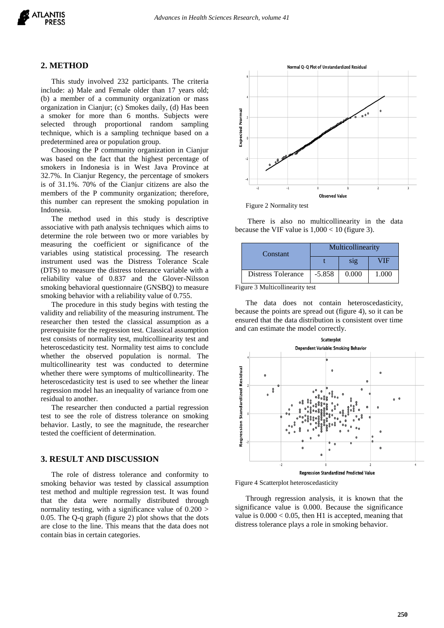

#### **2. METHOD**

This study involved 232 participants. The criteria include: a) Male and Female older than 17 years old; (b) a member of a community organization or mass organization in Cianjur; (c) Smokes daily, (d) Has been a smoker for more than 6 months. Subjects were selected through proportional random sampling technique, which is a sampling technique based on a predetermined area or population group.

Choosing the P community organization in Cianjur was based on the fact that the highest percentage of smokers in Indonesia is in West Java Province at 32.7%. In Cianjur Regency, the percentage of smokers is of 31.1%. 70% of the Cianjur citizens are also the members of the P community organization; therefore, this number can represent the smoking population in Indonesia.

The method used in this study is descriptive associative with path analysis techniques which aims to determine the role between two or more variables by measuring the coefficient or significance of the variables using statistical processing. The research instrument used was the Distress Tolerance Scale (DTS) to measure the distress tolerance variable with a reliability value of 0.837 and the Glover-Nilsson smoking behavioral questionnaire (GNSBQ) to measure smoking behavior with a reliability value of 0.755.

The procedure in this study begins with testing the validity and reliability of the measuring instrument. The researcher then tested the classical assumption as a prerequisite for the regression test. Classical assumption test consists of normality test, multicollinearity test and heteroscedasticity test. Normality test aims to conclude whether the observed population is normal. The multicollinearity test was conducted to determine whether there were symptoms of multicollinearity. The heteroscedasticity test is used to see whether the linear regression model has an inequality of variance from one residual to another.

The researcher then conducted a partial regression test to see the role of distress tolerance on smoking behavior. Lastly, to see the magnitude, the researcher tested the coefficient of determination.

# **3. RESULT AND DISCUSSION**

The role of distress tolerance and conformity to smoking behavior was tested by classical assumption test method and multiple regression test. It was found that the data were normally distributed through normality testing, with a significance value of 0.200 > 0.05. The Q-q graph (figure 2) plot shows that the dots are close to the line. This means that the data does not contain bias in certain categories.



Figure 2 Normality test

There is also no multicollinearity in the data because the VIF value is  $1,000 < 10$  (figure 3).

| Constant           | Multicollinearity |       |       |  |
|--------------------|-------------------|-------|-------|--|
|                    |                   | S12   | ЛF    |  |
| Distress Tolerance | $-5.858$          | 0.000 | 1.000 |  |

Figure 3 Multicollinearity test

The data does not contain heteroscedasticity, because the points are spread out (figure 4), so it can be ensured that the data distribution is consistent over time and can estimate the model correctly.





Through regression analysis, it is known that the significance value is 0.000. Because the significance value is  $0.000 < 0.05$ , then H1 is accepted, meaning that distress tolerance plays a role in smoking behavior.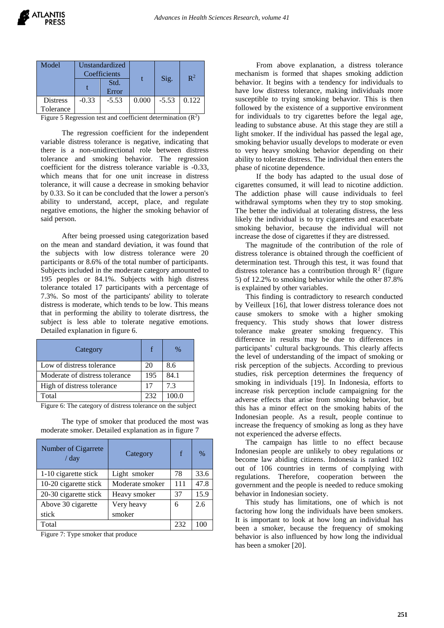| Model           | Unstandardized<br>Coefficients |         |       |         | $\mathbb{R}^2$ |
|-----------------|--------------------------------|---------|-------|---------|----------------|
|                 |                                | Std.    |       | Sig.    |                |
|                 |                                | Error   |       |         |                |
| <b>Distress</b> | $-0.33$                        | $-5.53$ | 0.000 | $-5.53$ | 0.122          |
| Tolerance       |                                |         |       |         |                |

Figure 5 Regression test and coefficient determination  $(R^2)$ 

The regression coefficient for the independent variable distress tolerance is negative, indicating that there is a non-unidirectional role between distress tolerance and smoking behavior. The regression coefficient for the distress tolerance variable is -0.33, which means that for one unit increase in distress tolerance, it will cause a decrease in smoking behavior by 0.33. So it can be concluded that the lower a person's ability to understand, accept, place, and regulate negative emotions, the higher the smoking behavior of said person.

After being proessed using categorization based on the mean and standard deviation, it was found that the subjects with low distress tolerance were 20 participants or 8.6% of the total number of participants. Subjects included in the moderate category amounted to 195 peoples or 84.1%. Subjects with high distress tolerance totaled 17 participants with a percentage of 7.3%. So most of the participants' ability to tolerate distress is moderate, which tends to be low. This means that in performing the ability to tolerate disrtress, the subject is less able to tolerate negative emotions. Detailed explanation in figure 6.

| Category                       | f   | $\%$  |
|--------------------------------|-----|-------|
| Low of distress tolerance      | 20  | 8.6   |
| Moderate of distress tolerance | 195 | 84.1  |
| High of distress tolerance     |     | 7.3   |
| Total                          | 232 | 100.0 |

Figure 6: The category of distress tolerance on the subject

The type of smoker that produced the most was moderate smoker. Detailed explanation as in figure 7

| Number of Cigarrete<br>/ day | Category        | f   | $\%$ |
|------------------------------|-----------------|-----|------|
| 1-10 cigarette stick         | Light smoker    | 78  | 33.6 |
| 10-20 cigarette stick        | Moderate smoker | 111 | 47.8 |
| 20-30 cigarette stick        | Heavy smoker    | 37  | 15.9 |
| Above 30 cigarette           | Very heavy      | 6   | 2.6  |
| stick                        | smoker          |     |      |
| Total                        |                 | 232 |      |

Figure 7: Type smoker that produce

From above explanation, a distress tolerance mechanism is formed that shapes smoking addiction behavior. It begins with a tendency for individuals to have low distress tolerance, making individuals more susceptible to trying smoking behavior. This is then followed by the existence of a supportive environment for individuals to try cigarettes before the legal age, leading to substance abuse. At this stage they are still a light smoker. If the individual has passed the legal age, smoking behavior usually develops to moderate or even to very heavy smoking behavior depending on their ability to tolerate distress. The individual then enters the phase of nicotine dependence.

If the body has adapted to the usual dose of cigarettes consumed, it will lead to nicotine addiction. The addiction phase will cause individuals to feel withdrawal symptoms when they try to stop smoking. The better the individual at tolerating distress, the less likely the individual is to try cigarettes and exacerbate smoking behavior, because the individual will not increase the dose of cigarettes if they are distressed.

The magnitude of the contribution of the role of distress tolerance is obtained through the coefficient of determination test. Through this test, it was found that distress tolerance has a contribution through  $\mathbb{R}^2$  (figure 5) of 12.2% to smoking behavior while the other 87.8% is explained by other variables.

This finding is contradictory to research conducted by Veilleux [16], that lower distress tolerance does not cause smokers to smoke with a higher smoking frequency. This study shows that lower distress tolerance make greater smoking frequency. This difference in results may be due to differences in participants' cultural backgrounds. This clearly affects the level of understanding of the impact of smoking or risk perception of the subjects. According to previous studies, risk perception determines the frequency of smoking in individuals [19]. In Indonesia, efforts to increase risk perception include campaigning for the adverse effects that arise from smoking behavior, but this has a minor effect on the smoking habits of the Indonesian people. As a result, people continue to increase the frequency of smoking as long as they have not experienced the adverse effects.

The campaign has little to no effect because Indonesian people are unlikely to obey regulations or become law abiding citizens. Indonesia is ranked 102 out of 106 countries in terms of complying with regulations. Therefore, cooperation between the government and the people is needed to reduce smoking behavior in Indonesian society.

This study has limitations, one of which is not factoring how long the individuals have been smokers. It is important to look at how long an individual has been a smoker, because the frequency of smoking behavior is also influenced by how long the individual has been a smoker [20].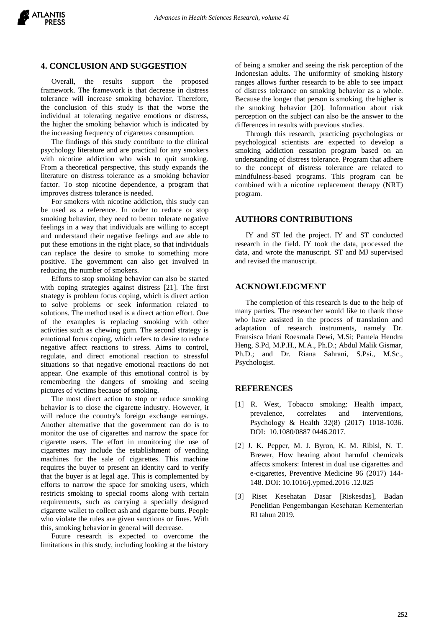# **4. CONCLUSION AND SUGGESTION**

Overall, the results support the proposed framework. The framework is that decrease in distress tolerance will increase smoking behavior. Therefore, the conclusion of this study is that the worse the individual at tolerating negative emotions or distress, the higher the smoking behavior which is indicated by the increasing frequency of cigarettes consumption.

The findings of this study contribute to the clinical psychology literature and are practical for any smokers with nicotine addiction who wish to quit smoking. From a theoretical perspective, this study expands the literature on distress tolerance as a smoking behavior factor. To stop nicotine dependence, a program that improves distress tolerance is needed.

For smokers with nicotine addiction, this study can be used as a reference. In order to reduce or stop smoking behavior, they need to better tolerate negative feelings in a way that individuals are willing to accept and understand their negative feelings and are able to put these emotions in the right place, so that individuals can replace the desire to smoke to something more positive. The government can also get involved in reducing the number of smokers.

Efforts to stop smoking behavior can also be started with coping strategies against distress [21]. The first strategy is problem focus coping, which is direct action to solve problems or seek information related to solutions. The method used is a direct action effort. One of the examples is replacing smoking with other activities such as chewing gum. The second strategy is emotional focus coping, which refers to desire to reduce negative affect reactions to stress. Aims to control, regulate, and direct emotional reaction to stressful situations so that negative emotional reactions do not appear. One example of this emotional control is by remembering the dangers of smoking and seeing pictures of victims because of smoking.

The most direct action to stop or reduce smoking behavior is to close the cigarette industry. However, it will reduce the country's foreign exchange earnings. Another alternative that the government can do is to monitor the use of cigarettes and narrow the space for cigarette users. The effort in monitoring the use of cigarettes may include the establishment of vending machines for the sale of cigarettes. This machine requires the buyer to present an identity card to verify that the buyer is at legal age. This is complemented by efforts to narrow the space for smoking users, which restricts smoking to special rooms along with certain requirements, such as carrying a specially designed cigarette wallet to collect ash and cigarette butts. People who violate the rules are given sanctions or fines. With this, smoking behavior in general will decrease.

Future research is expected to overcome the limitations in this study, including looking at the history

of being a smoker and seeing the risk perception of the Indonesian adults. The uniformity of smoking history ranges allows further research to be able to see impact of distress tolerance on smoking behavior as a whole. Because the longer that person is smoking, the higher is the smoking behavior [20]. Information about risk perception on the subject can also be the answer to the differences in results with previous studies.

Through this research, practicing psychologists or psychological scientists are expected to develop a smoking addiction cessation program based on an understanding of distress tolerance. Program that adhere to the concept of distress tolerance are related to mindfulness-based programs. This program can be combined with a nicotine replacement therapy (NRT) program.

#### **AUTHORS CONTRIBUTIONS**

IY and ST led the project. IY and ST conducted research in the field. IY took the data, processed the data, and wrote the manuscript. ST and MJ supervised and revised the manuscript.

#### **ACKNOWLEDGMENT**

The completion of this research is due to the help of many parties. The researcher would like to thank those who have assisted in the process of translation and adaptation of research instruments, namely Dr. Fransisca Iriani Roesmala Dewi, M.Si; Pamela Hendra Heng, S.Pd, M.P.H., M.A., Ph.D.; Abdul Malik Gismar, Ph.D.; and Dr. Riana Sahrani, S.Psi., M.Sc., Psychologist.

#### **REFERENCES**

- [1] R. West, Tobacco smoking: Health impact, prevalence, correlates and interventions, Psychology & Health 32(8) (2017) 1018-1036. DOI: 10.1080/0887 0446.2017.
- [2] J. K. Pepper, M. J. Byron, K. M. Ribisl, N. T. Brewer, How hearing about harmful chemicals affects smokers: Interest in dual use cigarettes and e-cigarettes, Preventive Medicine 96 (2017) 144- 148. DOI: 10.1016/j.ypmed.2016 .12.025
- [3] Riset Kesehatan Dasar [Riskesdas], Badan Penelitian Pengembangan Kesehatan Kementerian RI tahun 2019.